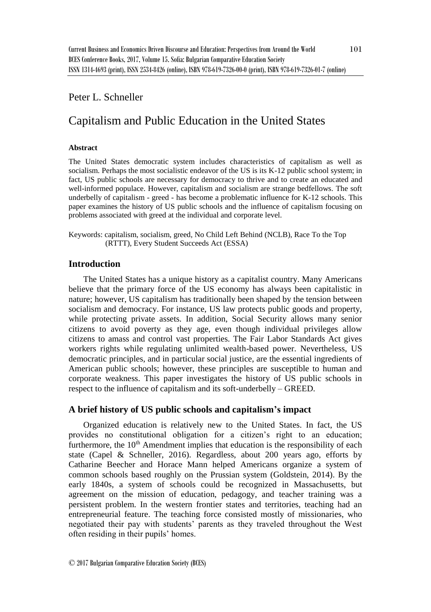# Peter L. Schneller

# Capitalism and Public Education in the United States

#### **Abstract**

The United States democratic system includes characteristics of capitalism as well as socialism. Perhaps the most socialistic endeavor of the US is its K-12 public school system; in fact, US public schools are necessary for democracy to thrive and to create an educated and well-informed populace. However, capitalism and socialism are strange bedfellows. The soft underbelly of capitalism - greed - has become a problematic influence for K-12 schools. This paper examines the history of US public schools and the influence of capitalism focusing on problems associated with greed at the individual and corporate level.

Keywords: capitalism, socialism, greed, No Child Left Behind (NCLB), Race To the Top (RTTT), Every Student Succeeds Act (ESSA)

# **Introduction**

The United States has a unique history as a capitalist country. Many Americans believe that the primary force of the US economy has always been capitalistic in nature; however, US capitalism has traditionally been shaped by the tension between socialism and democracy. For instance, US law protects public goods and property, while protecting private assets. In addition, Social Security allows many senior citizens to avoid poverty as they age, even though individual privileges allow citizens to amass and control vast properties. The Fair Labor Standards Act gives workers rights while regulating unlimited wealth-based power. Nevertheless, US democratic principles, and in particular social justice, are the essential ingredients of American public schools; however, these principles are susceptible to human and corporate weakness. This paper investigates the history of US public schools in respect to the influence of capitalism and its soft-underbelly – GREED.

# **A brief history of US public schools and capitalism's impact**

Organized education is relatively new to the United States. In fact, the US provides no constitutional obligation for a citizen's right to an education; furthermore, the  $10<sup>th</sup>$  Amendment implies that education is the responsibility of each state (Capel & Schneller, 2016). Regardless, about 200 years ago, efforts by Catharine Beecher and Horace Mann helped Americans organize a system of common schools based roughly on the Prussian system (Goldstein, 2014). By the early 1840s, a system of schools could be recognized in Massachusetts, but agreement on the mission of education, pedagogy, and teacher training was a persistent problem. In the western frontier states and territories, teaching had an entrepreneurial feature. The teaching force consisted mostly of missionaries, who negotiated their pay with students' parents as they traveled throughout the West often residing in their pupils' homes.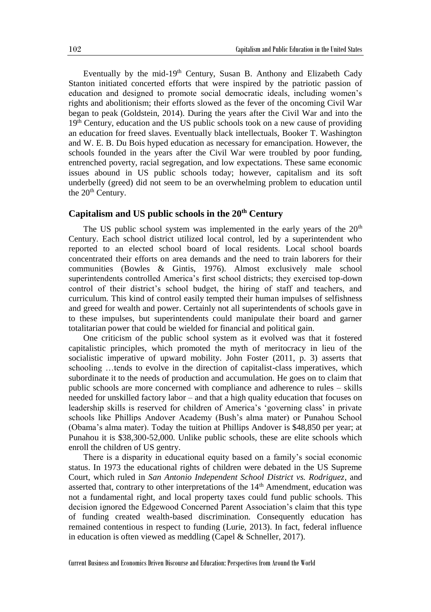Eventually by the mid-19<sup>th</sup> Century, Susan B. Anthony and Elizabeth Cady Stanton initiated concerted efforts that were inspired by the patriotic passion of education and designed to promote social democratic ideals, including women's rights and abolitionism; their efforts slowed as the fever of the oncoming Civil War began to peak (Goldstein, 2014). During the years after the Civil War and into the 19<sup>th</sup> Century, education and the US public schools took on a new cause of providing an education for freed slaves. Eventually black intellectuals, Booker T. Washington and W. E. B. Du Bois hyped education as necessary for emancipation. However, the schools founded in the years after the Civil War were troubled by poor funding, entrenched poverty, racial segregation, and low expectations. These same economic issues abound in US public schools today; however, capitalism and its soft underbelly (greed) did not seem to be an overwhelming problem to education until the 20<sup>th</sup> Century.

# **Capitalism and US public schools in the 20th Century**

The US public school system was implemented in the early years of the  $20<sup>th</sup>$ Century. Each school district utilized local control, led by a superintendent who reported to an elected school board of local residents. Local school boards concentrated their efforts on area demands and the need to train laborers for their communities (Bowles & Gintis, 1976). Almost exclusively male school superintendents controlled America's first school districts; they exercised top-down control of their district's school budget, the hiring of staff and teachers, and curriculum. This kind of control easily tempted their human impulses of selfishness and greed for wealth and power. Certainly not all superintendents of schools gave in to these impulses, but superintendents could manipulate their board and garner totalitarian power that could be wielded for financial and political gain.

One criticism of the public school system as it evolved was that it fostered capitalistic principles, which promoted the myth of meritocracy in lieu of the socialistic imperative of upward mobility. John Foster (2011, p. 3) asserts that schooling …tends to evolve in the direction of capitalist-class imperatives, which subordinate it to the needs of production and accumulation. He goes on to claim that public schools are more concerned with compliance and adherence to rules – skills needed for unskilled factory labor – and that a high quality education that focuses on leadership skills is reserved for children of America's 'governing class' in private schools like Phillips Andover Academy (Bush's alma mater) or Punahou School (Obama's alma mater). Today the tuition at Phillips Andover is \$48,850 per year; at Punahou it is \$38,300-52,000. Unlike public schools, these are elite schools which enroll the children of US gentry.

There is a disparity in educational equity based on a family's social economic status. In 1973 the educational rights of children were debated in the US Supreme Court, which ruled in *San Antonio Independent School District vs. Rodriguez*, and asserted that, contrary to other interpretations of the  $14<sup>th</sup>$  Amendment, education was not a fundamental right, and local property taxes could fund public schools. This decision ignored the Edgewood Concerned Parent Association's claim that this type of funding created wealth-based discrimination. Consequently education has remained contentious in respect to funding (Lurie, 2013). In fact, federal influence in education is often viewed as meddling (Capel & Schneller, 2017).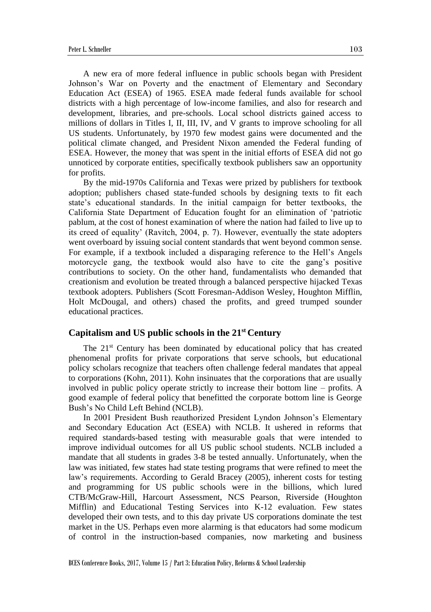A new era of more federal influence in public schools began with President Johnson's War on Poverty and the enactment of Elementary and Secondary Education Act (ESEA) of 1965. ESEA made federal funds available for school districts with a high percentage of low-income families, and also for research and development, libraries, and pre-schools. Local school districts gained access to millions of dollars in Titles I, II, III, IV, and V grants to improve schooling for all US students. Unfortunately, by 1970 few modest gains were documented and the political climate changed, and President Nixon amended the Federal funding of ESEA. However, the money that was spent in the initial efforts of ESEA did not go unnoticed by corporate entities, specifically textbook publishers saw an opportunity for profits.

By the mid-1970s California and Texas were prized by publishers for textbook adoption; publishers chased state-funded schools by designing texts to fit each state's educational standards. In the initial campaign for better textbooks, the California State Department of Education fought for an elimination of 'patriotic pablum, at the cost of honest examination of where the nation had failed to live up to its creed of equality' (Ravitch, 2004, p. 7). However, eventually the state adopters went overboard by issuing social content standards that went beyond common sense. For example, if a textbook included a disparaging reference to the Hell's Angels motorcycle gang, the textbook would also have to cite the gang's positive contributions to society. On the other hand, fundamentalists who demanded that creationism and evolution be treated through a balanced perspective hijacked Texas textbook adopters. Publishers (Scott Foresman-Addison Wesley, Houghton Mifflin, Holt McDougal, and others) chased the profits, and greed trumped sounder educational practices.

#### **Capitalism and US public schools in the 21st Century**

The 21st Century has been dominated by educational policy that has created phenomenal profits for private corporations that serve schools, but educational policy scholars recognize that teachers often challenge federal mandates that appeal to corporations (Kohn, 2011). Kohn insinuates that the corporations that are usually involved in public policy operate strictly to increase their bottom line – profits. A good example of federal policy that benefitted the corporate bottom line is George Bush's No Child Left Behind (NCLB).

In 2001 President Bush reauthorized President Lyndon Johnson's Elementary and Secondary Education Act (ESEA) with NCLB. It ushered in reforms that required standards-based testing with measurable goals that were intended to improve individual outcomes for all US public school students. NCLB included a mandate that all students in grades 3-8 be tested annually. Unfortunately, when the law was initiated, few states had state testing programs that were refined to meet the law's requirements. According to Gerald Bracey (2005), inherent costs for testing and programming for US public schools were in the billions, which lured CTB/McGraw-Hill, Harcourt Assessment, NCS Pearson, Riverside (Houghton Mifflin) and Educational Testing Services into K-12 evaluation. Few states developed their own tests, and to this day private US corporations dominate the test market in the US. Perhaps even more alarming is that educators had some modicum of control in the instruction-based companies, now marketing and business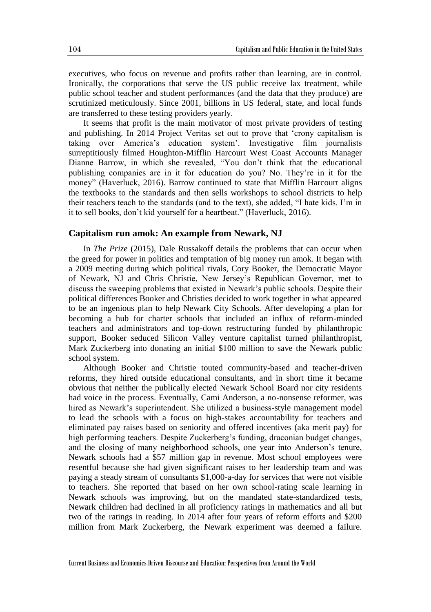executives, who focus on revenue and profits rather than learning, are in control. Ironically, the corporations that serve the US public receive lax treatment, while public school teacher and student performances (and the data that they produce) are scrutinized meticulously. Since 2001, billions in US federal, state, and local funds are transferred to these testing providers yearly.

It seems that profit is the main motivator of most private providers of testing and publishing. In 2014 Project Veritas set out to prove that 'crony capitalism is taking over America's education system'. Investigative film journalists surreptitiously filmed Houghton-Mifflin Harcourt West Coast Accounts Manager Dianne Barrow, in which she revealed, "You don't think that the educational publishing companies are in it for education do you? No. They're in it for the money" (Haverluck, 2016). Barrow continued to state that Mifflin Harcourt aligns the textbooks to the standards and then sells workshops to school districts to help their teachers teach to the standards (and to the text), she added, "I hate kids. I'm in it to sell books, don't kid yourself for a heartbeat." (Haverluck, 2016).

## **Capitalism run amok: An example from Newark, NJ**

In *The Prize* (2015), Dale Russakoff details the problems that can occur when the greed for power in politics and temptation of big money run amok. It began with a 2009 meeting during which political rivals, Cory Booker, the Democratic Mayor of Newark, NJ and Chris Christie, New Jersey's Republican Governor, met to discuss the sweeping problems that existed in Newark's public schools. Despite their political differences Booker and Christies decided to work together in what appeared to be an ingenious plan to help Newark City Schools. After developing a plan for becoming a hub for charter schools that included an influx of reform-minded teachers and administrators and top-down restructuring funded by philanthropic support, Booker seduced Silicon Valley venture capitalist turned philanthropist, Mark Zuckerberg into donating an initial \$100 million to save the Newark public school system.

Although Booker and Christie touted community-based and teacher-driven reforms, they hired outside educational consultants, and in short time it became obvious that neither the publically elected Newark School Board nor city residents had voice in the process. Eventually, Cami Anderson, a no-nonsense reformer, was hired as Newark's superintendent. She utilized a business-style management model to lead the schools with a focus on high-stakes accountability for teachers and eliminated pay raises based on seniority and offered incentives (aka merit pay) for high performing teachers. Despite Zuckerberg's funding, draconian budget changes, and the closing of many neighborhood schools, one year into Anderson's tenure, Newark schools had a \$57 million gap in revenue. Most school employees were resentful because she had given significant raises to her leadership team and was paying a steady stream of consultants \$1,000-a-day for services that were not visible to teachers. She reported that based on her own school-rating scale learning in Newark schools was improving, but on the mandated state-standardized tests, Newark children had declined in all proficiency ratings in mathematics and all but two of the ratings in reading. In 2014 after four years of reform efforts and \$200 million from Mark Zuckerberg, the Newark experiment was deemed a failure.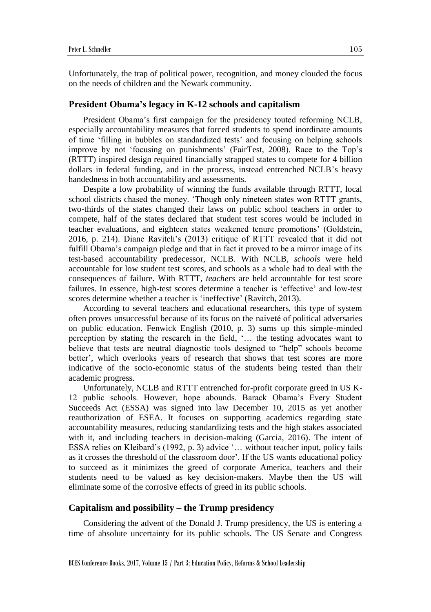Unfortunately, the trap of political power, recognition, and money clouded the focus on the needs of children and the Newark community.

## **President Obama's legacy in K-12 schools and capitalism**

President Obama's first campaign for the presidency touted reforming NCLB, especially accountability measures that forced students to spend inordinate amounts of time 'filling in bubbles on standardized tests' and focusing on helping schools improve by not 'focusing on punishments' (FairTest, 2008). Race to the Top's (RTTT) inspired design required financially strapped states to compete for 4 billion dollars in federal funding, and in the process, instead entrenched NCLB's heavy handedness in both accountability and assessments.

Despite a low probability of winning the funds available through RTTT, local school districts chased the money. 'Though only nineteen states won RTTT grants, two-thirds of the states changed their laws on public school teachers in order to compete, half of the states declared that student test scores would be included in teacher evaluations, and eighteen states weakened tenure promotions' (Goldstein, 2016, p. 214). Diane Ravitch's (2013) critique of RTTT revealed that it did not fulfill Obama's campaign pledge and that in fact it proved to be a mirror image of its test-based accountability predecessor, NCLB. With NCLB, *schools* were held accountable for low student test scores, and schools as a whole had to deal with the consequences of failure. With RTTT*, teachers* are held accountable for test score failures. In essence, high-test scores determine a teacher is 'effective' and low-test scores determine whether a teacher is 'ineffective' (Ravitch, 2013).

According to several teachers and educational researchers, this type of system often proves unsuccessful because of its focus on the naiveté of political adversaries on public education. Fenwick English (2010, p. 3) sums up this simple-minded perception by stating the research in the field, '… the testing advocates want to believe that tests are neutral diagnostic tools designed to "help" schools become better', which overlooks years of research that shows that test scores are more indicative of the socio-economic status of the students being tested than their academic progress.

Unfortunately, NCLB and RTTT entrenched for-profit corporate greed in US K-12 public schools. However, hope abounds. Barack Obama's Every Student Succeeds Act (ESSA) was signed into law December 10, 2015 as yet another reauthorization of ESEA. It focuses on supporting academics regarding state accountability measures, reducing standardizing tests and the high stakes associated with it, and including teachers in decision-making (Garcia, 2016). The intent of ESSA relies on Kleibard's (1992, p. 3) advice '… without teacher input, policy fails as it crosses the threshold of the classroom door'. If the US wants educational policy to succeed as it minimizes the greed of corporate America, teachers and their students need to be valued as key decision-makers. Maybe then the US will eliminate some of the corrosive effects of greed in its public schools.

## **Capitalism and possibility – the Trump presidency**

Considering the advent of the Donald J. Trump presidency, the US is entering a time of absolute uncertainty for its public schools. The US Senate and Congress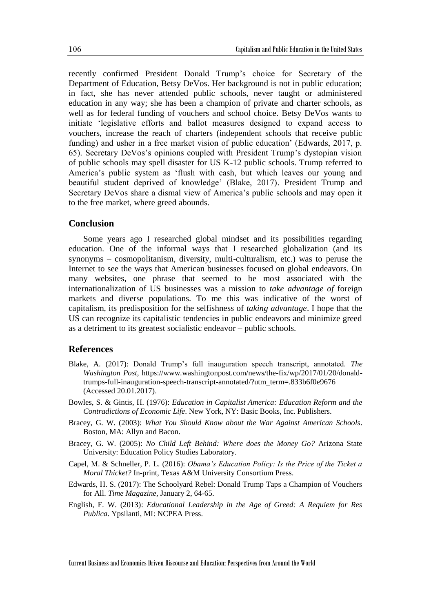recently confirmed President Donald Trump's choice for Secretary of the Department of Education, Betsy DeVos. Her background is not in public education; in fact, she has never attended public schools, never taught or administered education in any way; she has been a champion of private and charter schools, as well as for federal funding of vouchers and school choice. Betsy DeVos wants to initiate 'legislative efforts and ballot measures designed to expand access to vouchers, increase the reach of charters (independent schools that receive public funding) and usher in a free market vision of public education' (Edwards, 2017, p. 65). Secretary DeVos's opinions coupled with President Trump's dystopian vision of public schools may spell disaster for US K-12 public schools. Trump referred to America's public system as 'flush with cash, but which leaves our young and beautiful student deprived of knowledge' (Blake, 2017). President Trump and Secretary DeVos share a dismal view of America's public schools and may open it to the free market, where greed abounds.

# **Conclusion**

Some years ago I researched global mindset and its possibilities regarding education. One of the informal ways that I researched globalization (and its synonyms – cosmopolitanism, diversity, multi-culturalism, etc.) was to peruse the Internet to see the ways that American businesses focused on global endeavors. On many websites, one phrase that seemed to be most associated with the internationalization of US businesses was a mission to *take advantage of* foreign markets and diverse populations. To me this was indicative of the worst of capitalism, its predisposition for the selfishness of *taking advantage*. I hope that the US can recognize its capitalistic tendencies in public endeavors and minimize greed as a detriment to its greatest socialistic endeavor – public schools.

## **References**

- Blake, A. (2017): Donald Trump's full inauguration speech transcript, annotated. *The Washington Post*, https://www.washingtonpost.com/news/the-fix/wp/2017/01/20/donaldtrumps-full-inauguration-speech-transcript-annotated/?utm\_term=.833b6f0e9676 (Accessed 20.01.2017).
- Bowles, S. & Gintis, H. (1976): *Education in Capitalist America: Education Reform and the Contradictions of Economic Life*. New York, NY: Basic Books, Inc. Publishers.
- Bracey, G. W. (2003): *What You Should Know about the War Against American Schools*. Boston, MA: Allyn and Bacon.
- Bracey, G. W. (2005): *No Child Left Behind: Where does the Money Go?* Arizona State University: Education Policy Studies Laboratory.
- Capel, M. & Schneller, P. L. (2016): *Obama's Education Policy: Is the Price of the Ticket a Moral Thicket?* In-print, Texas A&M University Consortium Press.
- Edwards, H. S. (2017): The Schoolyard Rebel: Donald Trump Taps a Champion of Vouchers for All. *Time Magazine*, January 2, 64-65.
- English, F. W. (2013): *Educational Leadership in the Age of Greed: A Requiem for Res Publica*. Ypsilanti, MI: NCPEA Press.